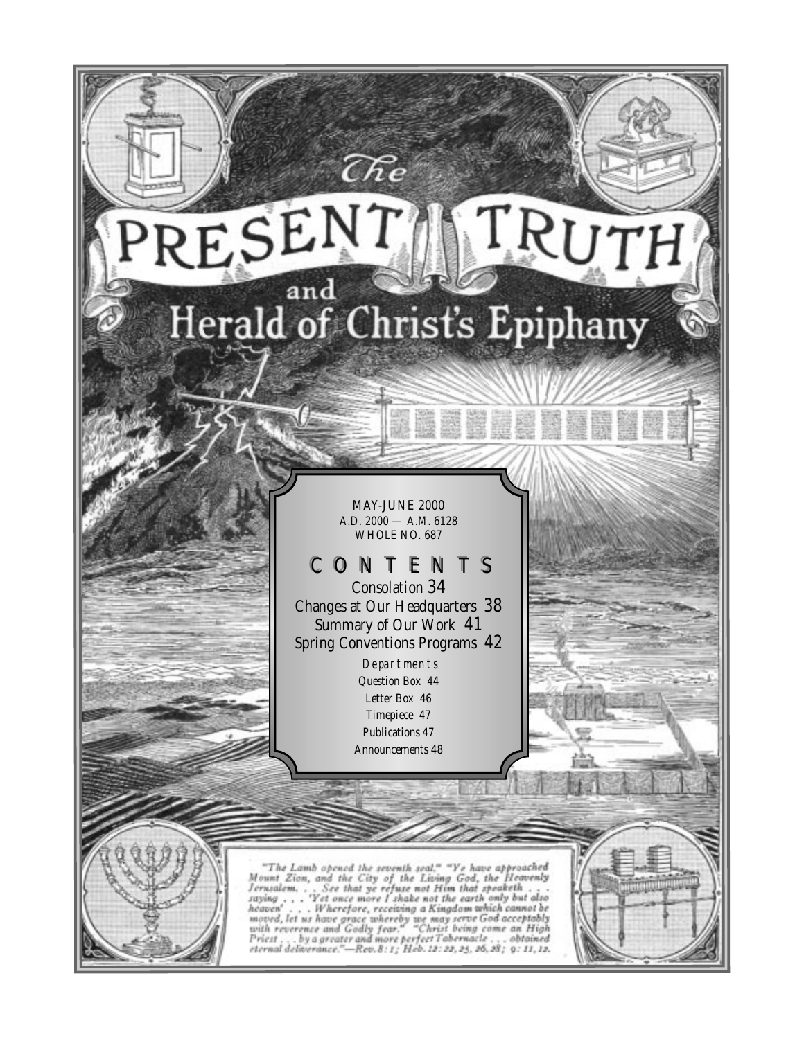

 $\widehat{C\mathit{Re}}$ 

MAY-JUNE 2000 A.D. 2000 — A.M. 6128 WHOLE NO. 687

# CONTENTS

Consolation 34 Changes at Our Headquarters 38 Summary of Our Work 41 Spring Conventions Programs 42

> **Departments** Question Box 44 Letter Box 46 Timepiece 47 Publications 47 Announcements 48

"The Lamb opened the seventh seal," "Ye have approached<br>Mount Zion, and the City of the Living God, the Heavenly<br>Jerusalem, . . . See that ye refuse not Him that speaketh . . .<br>saying . . . . Wherefore, receiving a Kingdo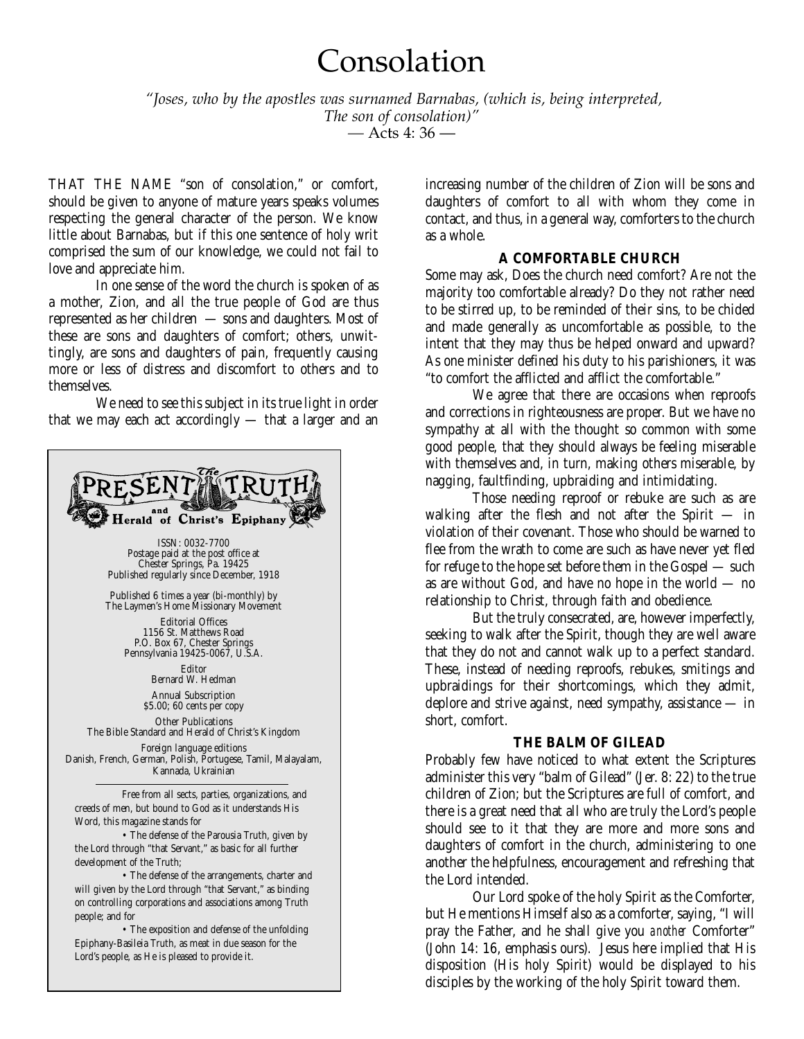# Consolation

*"Joses, who by the apostles was surnamed Barnabas, (which is, being interpreted, The son of consolation)"*

*—* Acts 4: 36 —

THAT THE NAME "son of consolation," or comfort, should be given to anyone of mature years speaks volumes respecting the general character of the person. We know little about Barnabas, but if this one sentence of holy writ comprised the sum of our knowledge, we could not fail to love and appreciate him.

In one sense of the word the church is spoken of as a mother, Zion, and all the true people of God are thus represented as her children — sons and daughters. Most of these are sons and daughters of comfort; others, unwittingly, are sons and daughters of pain, frequently causing more or less of distress and discomfort to others and to themselves.

We need to see this subject in its true light in order that we may each act accordingly — that a larger and an



increasing number of the children of Zion will be sons and daughters of comfort to all with whom they come in contact, and thus, in a general way, comforters to the church as a whole.

# **A COMFORTABLE CHURCH**

Some may ask, Does the church need comfort? Are not the majority too comfortable already? Do they not rather need to be stirred up, to be reminded of their sins, to be chided and made generally as uncomfortable as possible, to the intent that they may thus be helped onward and upward? As one minister defined his duty to his parishioners, it was "to comfort the afflicted and afflict the comfortable."

We agree that there are occasions when reproofs and corrections in righteousness are proper. But we have no sympathy at all with the thought so common with some good people, that they should always be feeling miserable with themselves and, in turn, making others miserable, by nagging, faultfinding, upbraiding and intimidating.

Those needing reproof or rebuke are such as are walking after the flesh and not after the Spirit — in violation of their covenant. Those who should be warned to flee from the wrath to come are such as have never yet fled for refuge to the hope set before them in the Gospel — such as are without God, and have no hope in the world — no relationship to Christ, through faith and obedience.

But the truly consecrated, are, however imperfectly, seeking to walk after the Spirit, though they are well aware that they do not and cannot walk up to a perfect standard. These, instead of needing reproofs, rebukes, smitings and upbraidings for their shortcomings, which they admit, deplore and strive against, need sympathy, assistance — in short, comfort.

# **THE BALM OF GILEAD**

Probably few have noticed to what extent the Scriptures administer this very "balm of Gilead" (Jer. 8: 22) to the true children of Zion; but the Scriptures are full of comfort, and there is a great need that all who are truly the Lord's people should see to it that they are more and more sons and daughters of comfort in the church, administering to one another the helpfulness, encouragement and refreshing that the Lord intended.

Our Lord spoke of the holy Spirit as the Comforter, but He mentions Himself also as a comforter, saying, "I will pray the Father, and he shall give you *another* Comforter" (John 14: 16, emphasis ours). Jesus here implied that His disposition (His holy Spirit) would be displayed to his disciples by the working of the holy Spirit toward them.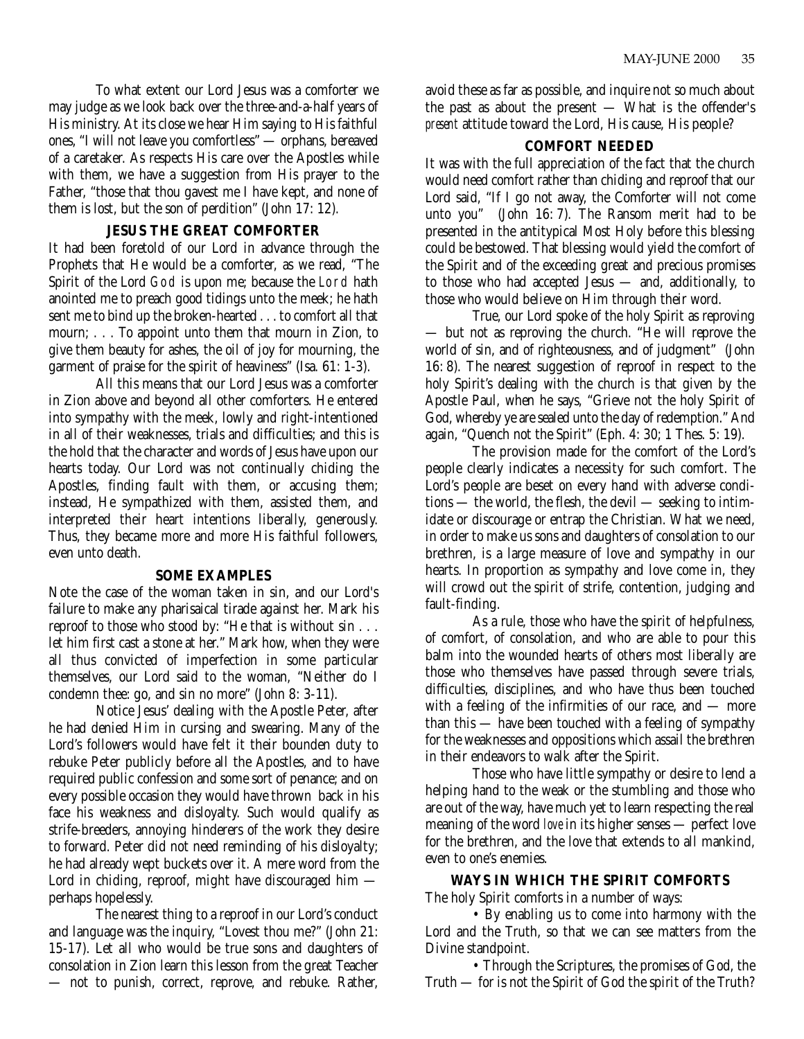To what extent our Lord Jesus was a comforter we may judge as we look back over the three-and-a-half years of His ministry. At its close we hear Him saying to His faithful ones, "I will not leave you comfortless" — orphans, bereaved of a caretaker. As respects His care over the Apostles while with them, we have a suggestion from His prayer to the Father, "those that thou gavest me I have kept, and none of them is lost, but the son of perdition" (John 17: 12).

# **JESUS THE GREAT COMFORTER**

It had been foretold of our Lord in advance through the Prophets that He would be a comforter, as we read, "The Spirit of the Lord God is upon me; because the Lord hath anointed me to preach good tidings unto the meek; he hath sent me to bind up the broken-hearted . . . to comfort all that mourn; . . . To appoint unto them that mourn in Zion, to give them beauty for ashes, the oil of joy for mourning, the garment of praise for the spirit of heaviness" (Isa. 61: 1-3).

All this means that our Lord Jesus was a comforter in Zion above and beyond all other comforters. He entered into sympathy with the meek, lowly and right-intentioned in all of their weaknesses, trials and difficulties; and this is the hold that the character and words of Jesus have upon our hearts today. Our Lord was not continually chiding the Apostles, finding fault with them, or accusing them; instead, He sympathized with them, assisted them, and interpreted their heart intentions liberally, generously. Thus, they became more and more His faithful followers, even unto death.

# **SOME EXAMPLES**

Note the case of the woman taken in sin, and our Lord's failure to make any pharisaical tirade against her. Mark his reproof to those who stood by: "He that is without sin . . . let him first cast a stone at her." Mark how, when they were all thus convicted of imperfection in some particular themselves, our Lord said to the woman, "Neither do I condemn thee: go, and sin no more" (John 8: 3-11).

Notice Jesus' dealing with the Apostle Peter, after he had denied Him in cursing and swearing. Many of the Lord's followers would have felt it their bounden duty to rebuke Peter publicly before all the Apostles, and to have required public confession and some sort of penance; and on every possible occasion they would have thrown back in his face his weakness and disloyalty. Such would qualify as strife-breeders, annoying hinderers of the work they desire to forward. Peter did not need reminding of his disloyalty; he had already wept buckets over it. A mere word from the Lord in chiding, reproof, might have discouraged him perhaps hopelessly.

The nearest thing to a reproof in our Lord's conduct and language was the inquiry, "Lovest thou me?" (John 21: 15-17). Let all who would be true sons and daughters of consolation in Zion learn this lesson from the great Teacher — not to punish, correct, reprove, and rebuke. Rather,

avoid these as far as possible, and inquire not so much about the past as about the present — What is the offender's *present* attitude toward the Lord, His cause, His people?

# **COMFORT NEEDED**

It was with the full appreciation of the fact that the church would need comfort rather than chiding and reproof that our Lord said, "If I go not away, the Comforter will not come unto you" (John 16: 7). The Ransom merit had to be presented in the antitypical Most Holy before this blessing could be bestowed. That blessing would yield the comfort of the Spirit and of the exceeding great and precious promises to those who had accepted Jesus — and, additionally, to those who would believe on Him through their word.

True, our Lord spoke of the holy Spirit as reproving — but not as reproving the church. "He will reprove the world of sin, and of righteousness, and of judgment" (John 16: 8). The nearest suggestion of reproof in respect to the holy Spirit's dealing with the church is that given by the Apostle Paul, when he says, "Grieve not the holy Spirit of God, whereby ye are sealed unto the day of redemption." And again, "Quench not the Spirit" (Eph. 4: 30; 1 Thes. 5: 19).

The provision made for the comfort of the Lord's people clearly indicates a necessity for such comfort. The Lord's people are beset on every hand with adverse conditions — the world, the flesh, the devil — seeking to intimidate or discourage or entrap the Christian. What we need, in order to make us sons and daughters of consolation to our brethren, is a large measure of love and sympathy in our hearts. In proportion as sympathy and love come in, they will crowd out the spirit of strife, contention, judging and fault-finding.

As a rule, those who have the spirit of helpfulness, of comfort, of consolation, and who are able to pour this balm into the wounded hearts of others most liberally are those who themselves have passed through severe trials, difficulties, disciplines, and who have thus been touched with a feeling of the infirmities of our race, and — more than this — have been touched with a feeling of sympathy for the weaknesses and oppositions which assail the brethren in their endeavors to walk after the Spirit.

Those who have little sympathy or desire to lend a helping hand to the weak or the stumbling and those who are out of the way, have much yet to learn respecting the real meaning of the word *love* in its higher senses — perfect love for the brethren, and the love that extends to all mankind, even to one's enemies.

**WAYS IN WHICH THE SPIRIT COMFORTS** The holy Spirit comforts in a number of ways:

• By enabling us to come into harmony with the Lord and the Truth, so that we can see matters from the Divine standpoint.

• Through the Scriptures, the promises of God, the Truth — for is not the Spirit of God the spirit of the Truth?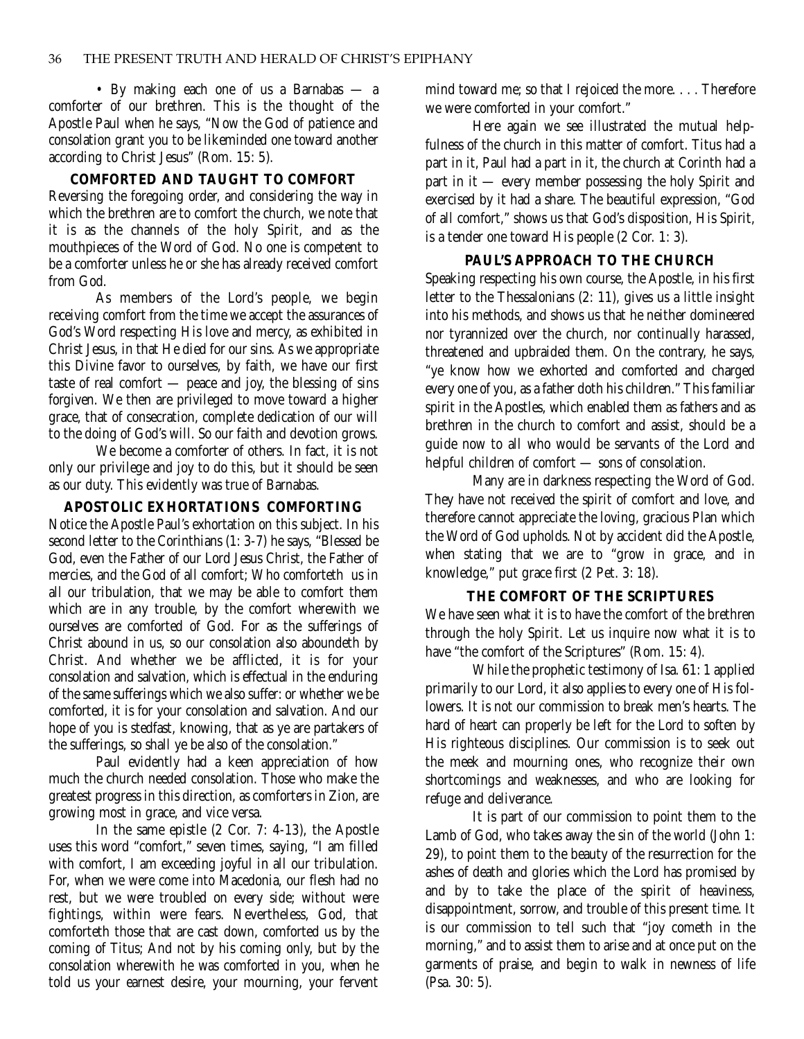• By making each one of us a Barnabas — a comforter of our brethren. This is the thought of the Apostle Paul when he says, "Now the God of patience and consolation grant you to be likeminded one toward another according to Christ Jesus" (Rom. 15: 5).

## **COMFORTED AND TAUGHT TO COMFORT**

Reversing the foregoing order, and considering the way in which the brethren are to comfort the church, we note that it is as the channels of the holy Spirit, and as the mouthpieces of the Word of God. No one is competent to be a comforter unless he or she has already received comfort from God.

As members of the Lord's people, we begin receiving comfort from the time we accept the assurances of God's Word respecting His love and mercy, as exhibited in Christ Jesus, in that He died for our sins. As we appropriate this Divine favor to ourselves, by faith, we have our first taste of real comfort — peace and joy, the blessing of sins forgiven. We then are privileged to move toward a higher grace, that of consecration, complete dedication of our will to the doing of God's will. So our faith and devotion grows.

We become a comforter of others. In fact, it is not only our privilege and joy to do this, but it should be seen as our duty. This evidently was true of Barnabas.

# **APOSTOLIC EXHORTATIONS COMFORTING**

Notice the Apostle Paul's exhortation on this subject. In his second letter to the Corinthians (1: 3-7) he says, "Blessed be God, even the Father of our Lord Jesus Christ, the Father of mercies, and the God of all comfort; Who comforteth us in all our tribulation, that we may be able to comfort them which are in any trouble, by the comfort wherewith we ourselves are comforted of God. For as the sufferings of Christ abound in us, so our consolation also aboundeth by Christ. And whether we be afflicted, it is for your consolation and salvation, which is effectual in the enduring of the same sufferings which we also suffer: or whether we be comforted, it is for your consolation and salvation. And our hope of you is stedfast, knowing, that as ye are partakers of the sufferings, so shall ye be also of the consolation."

Paul evidently had a keen appreciation of how much the church needed consolation. Those who make the greatest progress in this direction, as comforters in Zion, are growing most in grace, and vice versa.

In the same epistle (2 Cor. 7: 4-13), the Apostle uses this word "comfort," seven times, saying, "I am filled with comfort, I am exceeding joyful in all our tribulation. For, when we were come into Macedonia, our flesh had no rest, but we were troubled on every side; without were fightings, within were fears. Nevertheless, God, that comforteth those that are cast down, comforted us by the coming of Titus; And not by his coming only, but by the consolation wherewith he was comforted in you, when he told us your earnest desire, your mourning, your fervent mind toward me; so that I rejoiced the more. . . . Therefore we were comforted in your comfort."

Here again we see illustrated the mutual helpfulness of the church in this matter of comfort. Titus had a part in it, Paul had a part in it, the church at Corinth had a part in it — every member possessing the holy Spirit and exercised by it had a share. The beautiful expression, "God of all comfort," shows us that God's disposition, His Spirit, is a tender one toward His people (2 Cor. 1: 3).

## **PAUL'S APPROACH TO THE CHURCH**

Speaking respecting his own course, the Apostle, in his first letter to the Thessalonians (2: 11), gives us a little insight into his methods, and shows us that he neither domineered nor tyrannized over the church, nor continually harassed, threatened and upbraided them. On the contrary, he says, "ye know how we exhorted and comforted and charged every one of you, as a father doth his children." This familiar spirit in the Apostles, which enabled them as fathers and as brethren in the church to comfort and assist, should be a guide now to all who would be servants of the Lord and helpful children of comfort — sons of consolation.

Many are in darkness respecting the Word of God. They have not received the spirit of comfort and love, and therefore cannot appreciate the loving, gracious Plan which the Word of God upholds. Not by accident did the Apostle, when stating that we are to "grow in grace, and in knowledge," put grace first (2 Pet. 3: 18).

# **THE COMFORT OF THE SCRIPTURES**

We have seen what it is to have the comfort of the brethren through the holy Spirit. Let us inquire now what it is to have "the comfort of the Scriptures" (Rom. 15: 4).

While the prophetic testimony of Isa. 61: 1 applied primarily to our Lord, it also applies to every one of His followers. It is not our commission to break men's hearts. The hard of heart can properly be left for the Lord to soften by His righteous disciplines. Our commission is to seek out the meek and mourning ones, who recognize their own shortcomings and weaknesses, and who are looking for refuge and deliverance.

It is part of our commission to point them to the Lamb of God, who takes away the sin of the world (John 1: 29), to point them to the beauty of the resurrection for the ashes of death and glories which the Lord has promised by and by to take the place of the spirit of heaviness, disappointment, sorrow, and trouble of this present time. It is our commission to tell such that "joy cometh in the morning," and to assist them to arise and at once put on the garments of praise, and begin to walk in newness of life (Psa. 30: 5).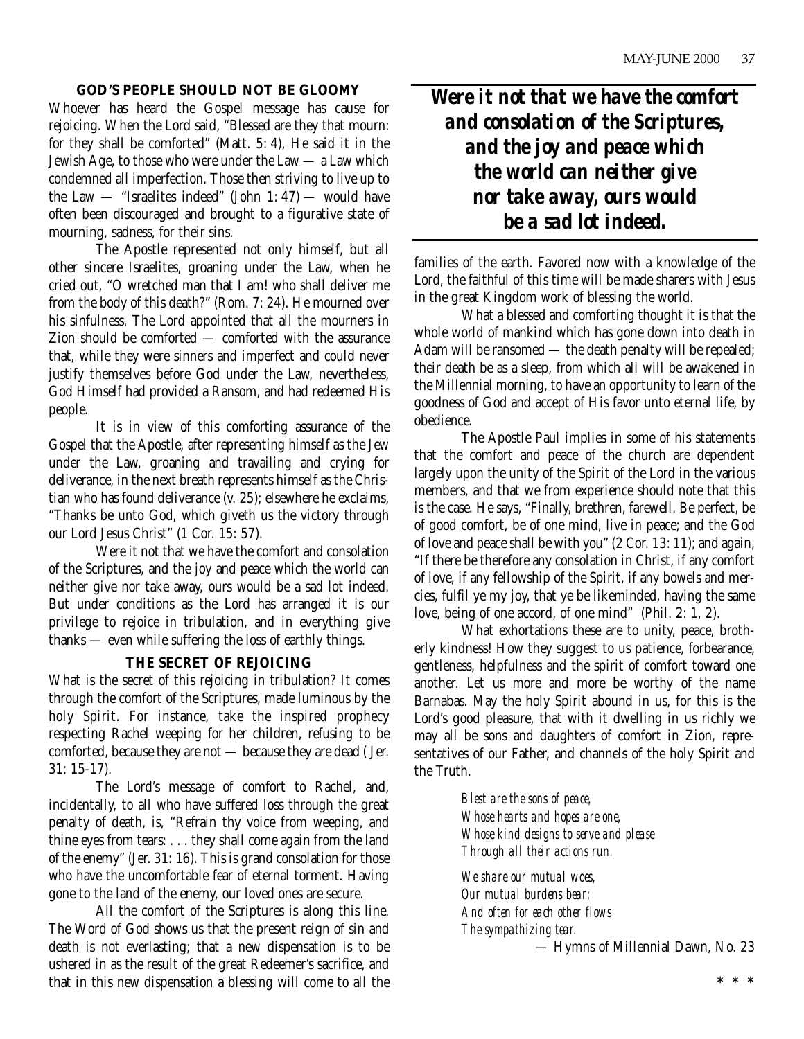# **GOD'S PEOPLE SHOULD NOT BE GLOOMY**

Whoever has heard the Gospel message has cause for rejoicing. When the Lord said, "Blessed are they that mourn: for they shall be comforted" (Matt. 5: 4), He said it in the Jewish Age, to those who were under the Law — a Law which condemned all imperfection. Those then striving to live up to the Law  $-$  "Israelites indeed" (John 1: 47) — would have often been discouraged and brought to a figurative state of mourning, sadness, for their sins.

The Apostle represented not only himself, but all other sincere Israelites, groaning under the Law, when he cried out, "O wretched man that I am! who shall deliver me from the body of this death?" (Rom. 7: 24). He mourned over his sinfulness. The Lord appointed that all the mourners in Zion should be comforted — comforted with the assurance that, while they were sinners and imperfect and could never justify themselves before God under the Law, nevertheless, God Himself had provided a Ransom, and had redeemed His people.

It is in view of this comforting assurance of the Gospel that the Apostle, after representing himself as the Jew under the Law, groaning and travailing and crying for deliverance, in the next breath represents himself as the Christian who has found deliverance (v. 25); elsewhere he exclaims, "Thanks be unto God, which giveth us the victory through our Lord Jesus Christ" (1 Cor. 15: 57).

Were it not that we have the comfort and consolation of the Scriptures, and the joy and peace which the world can neither give nor take away, ours would be a sad lot indeed. But under conditions as the Lord has arranged it is our privilege to rejoice in tribulation, and in everything give thanks — even while suffering the loss of earthly things.

# **THE SECRET OF REJOICING**

What is the secret of this rejoicing in tribulation? It comes through the comfort of the Scriptures, made luminous by the holy Spirit. For instance, take the inspired prophecy respecting Rachel weeping for her children, refusing to be comforted, because they are not — because they are dead ( Jer. 31: 15-17).

The Lord's message of comfort to Rachel, and, incidentally, to all who have suffered loss through the great penalty of death, is, "Refrain thy voice from weeping, and thine eyes from tears: . . . they shall come again from the land of the enemy" (Jer. 31: 16). This is grand consolation for those who have the uncomfortable fear of eternal torment. Having gone to the land of the enemy, our loved ones are secure.

All the comfort of the Scriptures is along this line. The Word of God shows us that the present reign of sin and death is not everlasting; that a new dispensation is to be ushered in as the result of the great Redeemer's sacrifice, and that in this new dispensation a blessing will come to all the *Were it not that we have the comfort and consolation of the Scriptures, and the joy and peace which the world can neither give nor take away, ours would be a sad lot indeed.* 

families of the earth. Favored now with a knowledge of the Lord, the faithful of this time will be made sharers with Jesus in the great Kingdom work of blessing the world.

What a blessed and comforting thought it is that the whole world of mankind which has gone down into death in Adam will be ransomed — the death penalty will be repealed; their death be as a sleep, from which all will be awakened in the Millennial morning, to have an opportunity to learn of the goodness of God and accept of His favor unto eternal life, by obedience.

The Apostle Paul implies in some of his statements that the comfort and peace of the church are dependent largely upon the unity of the Spirit of the Lord in the various members, and that we from experience should note that this is the case. He says, "Finally, brethren, farewell. Be perfect, be of good comfort, be of one mind, live in peace; and the God of love and peace shall be with you" (2 Cor. 13: 11); and again, "If there be therefore any consolation in Christ, if any comfort of love, if any fellowship of the Spirit, if any bowels and mercies, fulfil ye my joy, that ye be likeminded, having the same love, being of one accord, of one mind" (Phil. 2: 1, 2).

What exhortations these are to unity, peace, brotherly kindness! How they suggest to us patience, forbearance, gentleness, helpfulness and the spirit of comfort toward one another. Let us more and more be worthy of the name Barnabas. May the holy Spirit abound in us, for this is the Lord's good pleasure, that with it dwelling in us richly we may all be sons and daughters of comfort in Zion, representatives of our Father, and channels of the holy Spirit and the Truth.

> *Blest are the sons of peace, Whose hearts and hopes are one, Whose kind designs to serve and please Through all their actions run. We share our mutual woes,*

*Our mutual burdens bear; And often for each other flows The sympathizing tear.*

— Hymns of Millennial Dawn, No. 23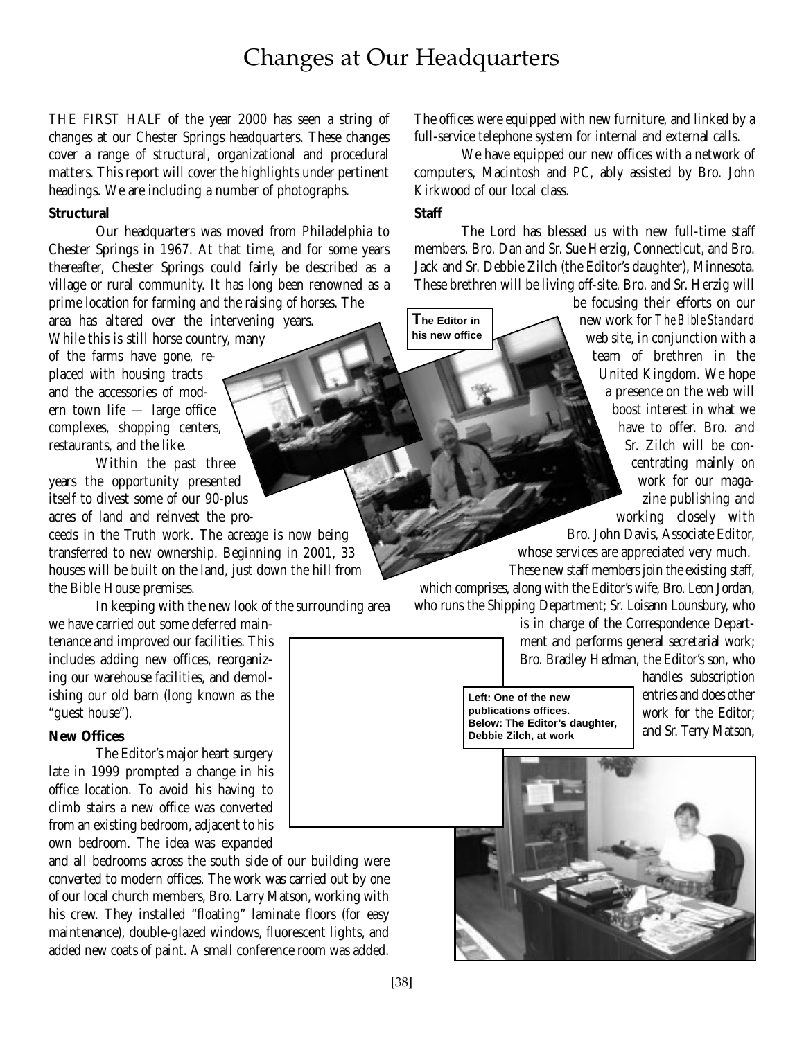# Changes at Our Headquarters

THE FIRST HALF of the year 2000 has seen a string of changes at our Chester Springs headquarters. These changes cover a range of structural, organizational and procedural matters. This report will cover the highlights under pertinent headings. We are including a number of photographs.

# **Structural**

Our headquarters was moved from Philadelphia to Chester Springs in 1967. At that time, and for some years thereafter, Chester Springs could fairly be described as a village or rural community. It has long been renowned as a prime location for farming and the raising of horses. The

area has altered over the intervening years. While this is still horse country, many of the farms have gone, replaced with housing tracts and the accessories of modern town life — large office complexes, shopping centers, restaurants, and the like.

Within the past three years the opportunity presented itself to divest some of our 90-plus acres of land and reinvest the proceeds in the Truth work. The acreage is now being transferred to new ownership. Beginning in 2001, 33 houses will be built on the land, just down the hill from the Bible House premises.

In keeping with the new look of the surrounding area we have carried out some deferred main-

tenance and improved our facilities. This includes adding new offices, reorganizing our warehouse facilities, and demolishing our old barn (long known as the "guest house").

# **New Offices**

The Editor's major heart surgery late in 1999 prompted a change in his office location. To avoid his having to climb stairs a new office was converted from an existing bedroom, adjacent to his own bedroom. The idea was expanded

and all bedrooms across the south side of our building were converted to modern offices. The work was carried out by one of our local church members, Bro. Larry Matson, working with his crew. They installed "floating" laminate floors (for easy maintenance), double-glazed windows, fluorescent lights, and added new coats of paint. A small conference room was added.

The offices were equipped with new furniture, and linked by a full-service telephone system for internal and external calls.

We have equipped our new offices with a network of computers, Macintosh and PC, ably assisted by Bro. John Kirkwood of our local class.

# **Staff**

**The Editor in his new office**

The Lord has blessed us with new full-time staff members. Bro. Dan and Sr. Sue Herzig, Connecticut, and Bro. Jack and Sr. Debbie Zilch (the Editor's daughter), Minnesota. These brethren will be living off-site. Bro. and Sr. Herzig will

> be focusing their efforts on our new work for *The Bible Standard* web site, in conjunction with a team of brethren in the United Kingdom. We hope a presence on the web will boost interest in what we have to offer. Bro. and Sr. Zilch will be concentrating mainly on work for our magazine publishing and working closely with Bro. John Davis, Associate Editor,

whose services are appreciated very much. These new staff members join the existing staff,

which comprises, along with the Editor's wife, Bro. Leon Jordan, who runs the Shipping Department; Sr. Loisann Lounsbury, who

> is in charge of the Correspondence Department and performs general secretarial work; Bro. Bradley Hedman, the Editor's son, who

**Left: One of the new publications offices. Below: The Editor's daughter, Debbie Zilch, at work**

handles subscription entries and does other work for the Editor; and Sr. Terry Matson,

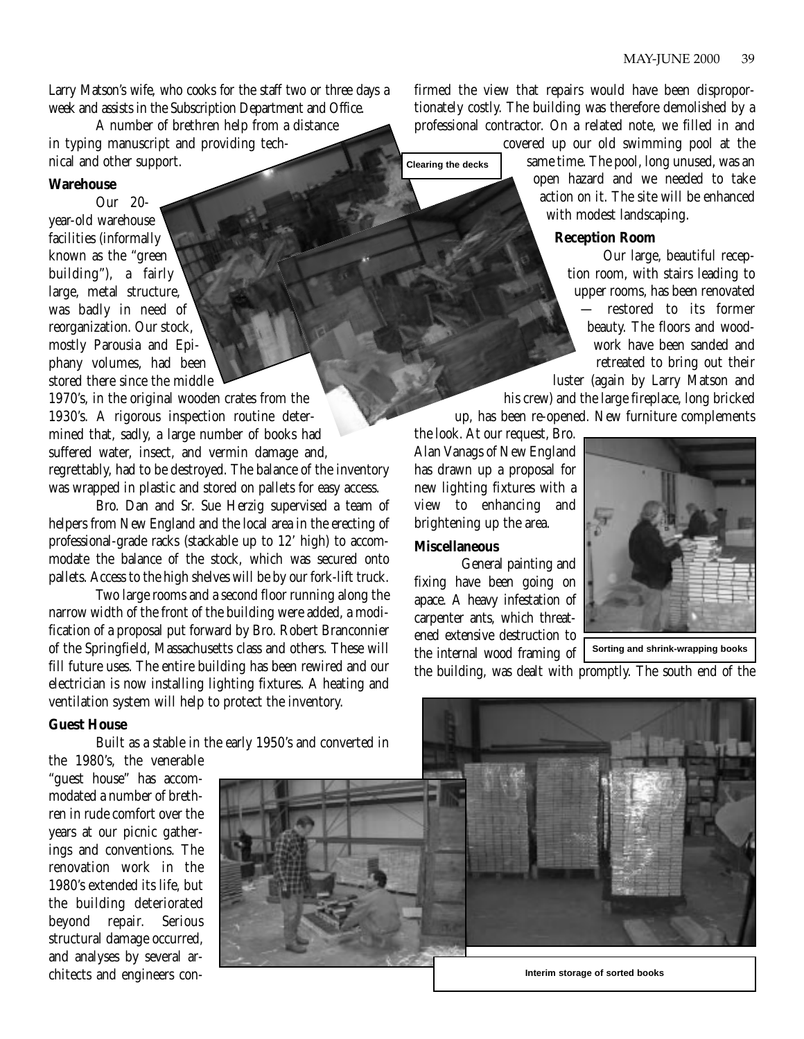Larry Matson's wife, who cooks for the staff two or three days a week and assists in the Subscription Department and Office.

A number of brethren help from a distance in typing manuscript and providing technical and other support.

## **Warehouse**

Our 20 year-old warehouse facilities (informally known as the "green building"), a fairly large, metal structure, was badly in need of reorganization. Our stock, mostly Parousia and Epiphany volumes, had been stored there since the middle

1970's, in the original wooden crates from the 1930's. A rigorous inspection routine determined that, sadly, a large number of books had suffered water, insect, and vermin damage and, regrettably, had to be destroyed. The balance of the inventory was wrapped in plastic and stored on pallets for easy access.

Bro. Dan and Sr. Sue Herzig supervised a team of helpers from New England and the local area in the erecting of professional-grade racks (stackable up to 12' high) to accommodate the balance of the stock, which was secured onto pallets. Access to the high shelves will be by our fork-lift truck.

Two large rooms and a second floor running along the narrow width of the front of the building were added, a modification of a proposal put forward by Bro. Robert Branconnier of the Springfield, Massachusetts class and others. These will fill future uses. The entire building has been rewired and our electrician is now installing lighting fixtures. A heating and ventilation system will help to protect the inventory.

# **Guest House**

Built as a stable in the early 1950's and converted in

firmed the view that repairs would have been disproportionately costly. The building was therefore demolished by a professional contractor. On a related note, we filled in and

covered up our old swimming pool at the same time. The pool, long unused, was an open hazard and we needed to take action on it. The site will be enhanced with modest landscaping.

# **Reception Room**

Our large, beautiful reception room, with stairs leading to upper rooms, has been renovated — restored to its former beauty. The floors and woodwork have been sanded and retreated to bring out their

luster (again by Larry Matson and his crew) and the large fireplace, long bricked up, has been re-opened. New furniture complements

the look. At our request, Bro. Alan Vanags of New England has drawn up a proposal for new lighting fixtures with a view to enhancing and brightening up the area.

# **Miscellaneous**

**Clearing the decks**

General painting and fixing have been going on apace. A heavy infestation of carpenter ants, which threatened extensive destruction to the internal wood framing of



**Sorting and shrink-wrapping books**

the building, was dealt with promptly. The south end of the

the 1980's, the venerable "guest house" has accommodated a number of brethren in rude comfort over the years at our picnic gatherings and conventions. The renovation work in the 1980's extended its life, but the building deteriorated beyond repair. Serious structural damage occurred, and analyses by several architects and engineers con-

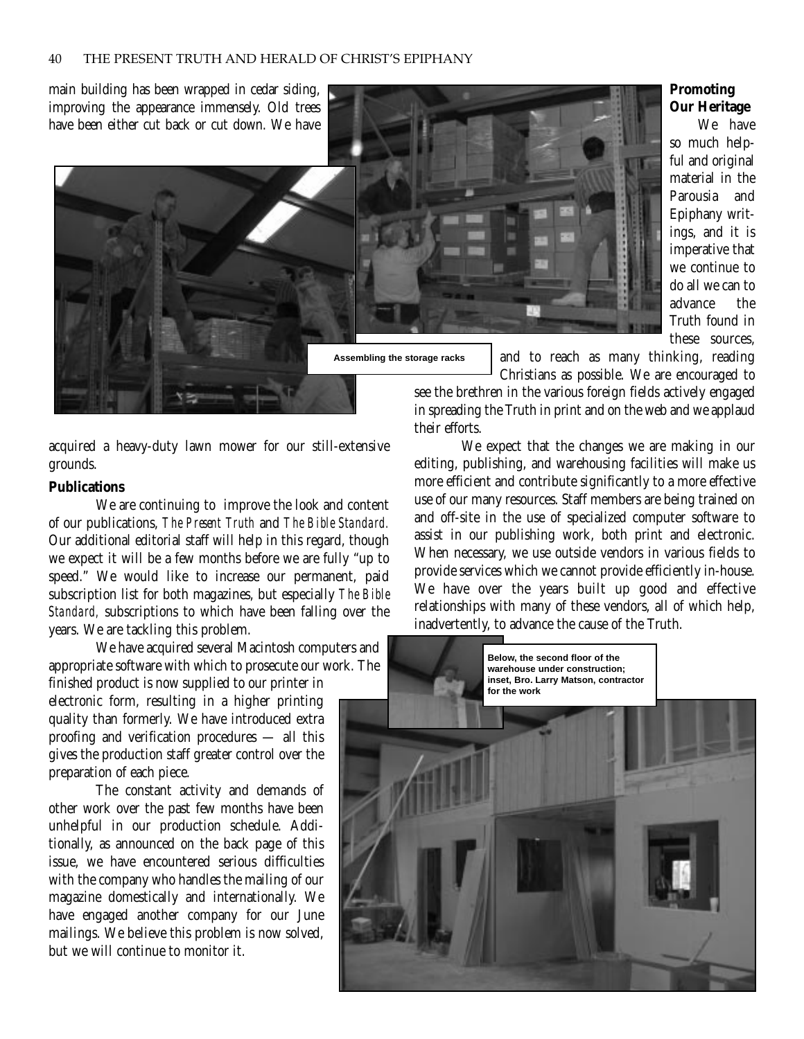main building has been wrapped in cedar siding, improving the appearance immensely. Old trees have been either cut back or cut down. We have



acquired a heavy-duty lawn mower for our still-extensive grounds.

# **Publications**

We are continuing to improve the look and content of our publications, *The Present Truth* and *The Bible Standard.* Our additional editorial staff will help in this regard, though we expect it will be a few months before we are fully "up to speed." We would like to increase our permanent, paid subscription list for both magazines, but especially *The Bible Standard,* subscriptions to which have been falling over the years. We are tackling this problem.

We have acquired several Macintosh computers and appropriate software with which to prosecute our work. The finished product is now supplied to our printer in

electronic form, resulting in a higher printing quality than formerly. We have introduced extra proofing and verification procedures — all this gives the production staff greater control over the preparation of each piece.

The constant activity and demands of other work over the past few months have been unhelpful in our production schedule. Additionally, as announced on the back page of this issue, we have encountered serious difficulties with the company who handles the mailing of our magazine domestically and internationally. We have engaged another company for our June mailings. We believe this problem is now solved, but we will continue to monitor it.

**Assembling the storage racks**

and to reach as many thinking, reading Christians as possible. We are encouraged to

see the brethren in the various foreign fields actively engaged in spreading the Truth in print and on the web and we applaud their efforts.

We expect that the changes we are making in our editing, publishing, and warehousing facilities will make us more efficient and contribute significantly to a more effective use of our many resources. Staff members are being trained on and off-site in the use of specialized computer software to assist in our publishing work, both print and electronic. When necessary, we use outside vendors in various fields to provide services which we cannot provide efficiently in-house. We have over the years built up good and effective relationships with many of these vendors, all of which help, inadvertently, to advance the cause of the Truth.



# **Promoting Our Heritage**

We have so much helpful and original material in the Parousia and Epiphany writings, and it is imperative that we continue to do all we can to advance the Truth found in these sources,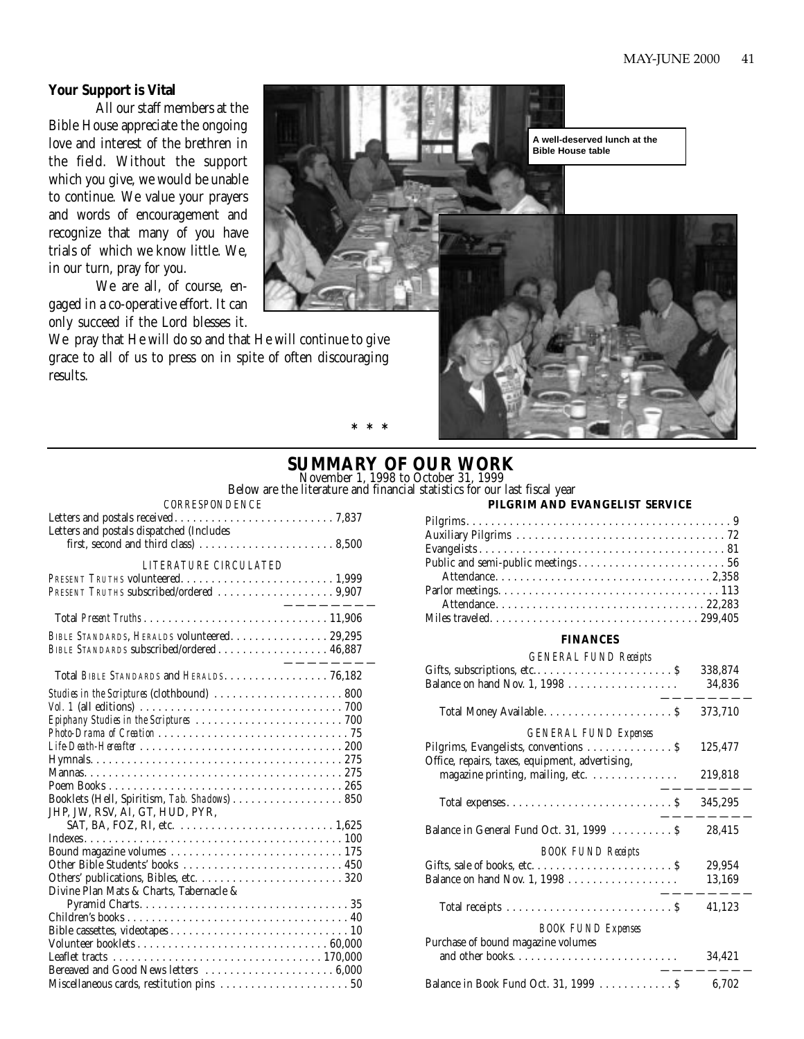# **Your Support is Vital**

All our staff members at the Bible House appreciate the ongoing love and interest of the brethren in the field. Without the support which you give, we would be unable to continue. We value your prayers and words of encouragement and recognize that many of you have trials of which we know little. We, in our turn, pray for you.

We are all, of course, engaged in a co-operative effort. It can only succeed if the Lord blesses it.

We pray that He will do so and that He will continue to give grace to all of us to press on in spite of often discouraging results.

**A well-deserved lunch at the Bible House table**

# **SUMMARY OF OUR WORK** November 1, 1998 to October 31, 1999

**\*\*\***

Below are the literature and financial statistics for our last fiscal year

| <b>CORRESPONDENCE</b>                        |
|----------------------------------------------|
|                                              |
| Letters and postals dispatched (Includes     |
|                                              |
| LITERATURE CIRCULATED                        |
|                                              |
|                                              |
|                                              |
| BIBLE STANDARDS, HERALDS volunteered. 29,295 |
| BIBLE STANDARDS subscribed/ordered 46,887    |
|                                              |
| Total BIBLE STANDARDS and HERALDS. 76,182    |
| Studies in the Scriptures (clothbound)  800  |
|                                              |
|                                              |
|                                              |
|                                              |
|                                              |
|                                              |
|                                              |
| Booklets (Hell, Spiritism, Tab. Shadows) 850 |
| JHP, JW, RSV, AI, GT, HUD, PYR,              |
|                                              |
|                                              |
|                                              |
|                                              |
| Divine Plan Mats & Charts, Tabernacle &      |
|                                              |
|                                              |
|                                              |
|                                              |
|                                              |
|                                              |

Miscellaneous cards, restitution pins . . . . . . . . . . . . . . . . . . . . . 50

# **PILGRIM AND EVANGELIST SERVICE**

#### **FINANCES**

#### *GENERAL FUND Receipts*

|                                                 | 338,874 |
|-------------------------------------------------|---------|
| Balance on hand Nov. 1, 1998                    | 34,836  |
|                                                 | 373,710 |
| <b>GENERAL FUND Expenses</b>                    | 125,477 |
| Office, repairs, taxes, equipment, advertising, | 219,818 |
| magazine printing, mailing, etc.                |         |
|                                                 | 345,295 |
| Balance in General Fund Oct. 31, 1999  \$       | 28,415  |
| <b>BOOK FUND Receipts</b>                       |         |
|                                                 | 29,954  |
| Balance on hand Nov. 1, 1998                    | 13,169  |
|                                                 | 41,123  |
| <b>BOOK FUND Expenses</b>                       |         |
| Purchase of bound magazine volumes              | 34,421  |
| Balance in Book Fund Oct. 31, 1999 S            | 6.702   |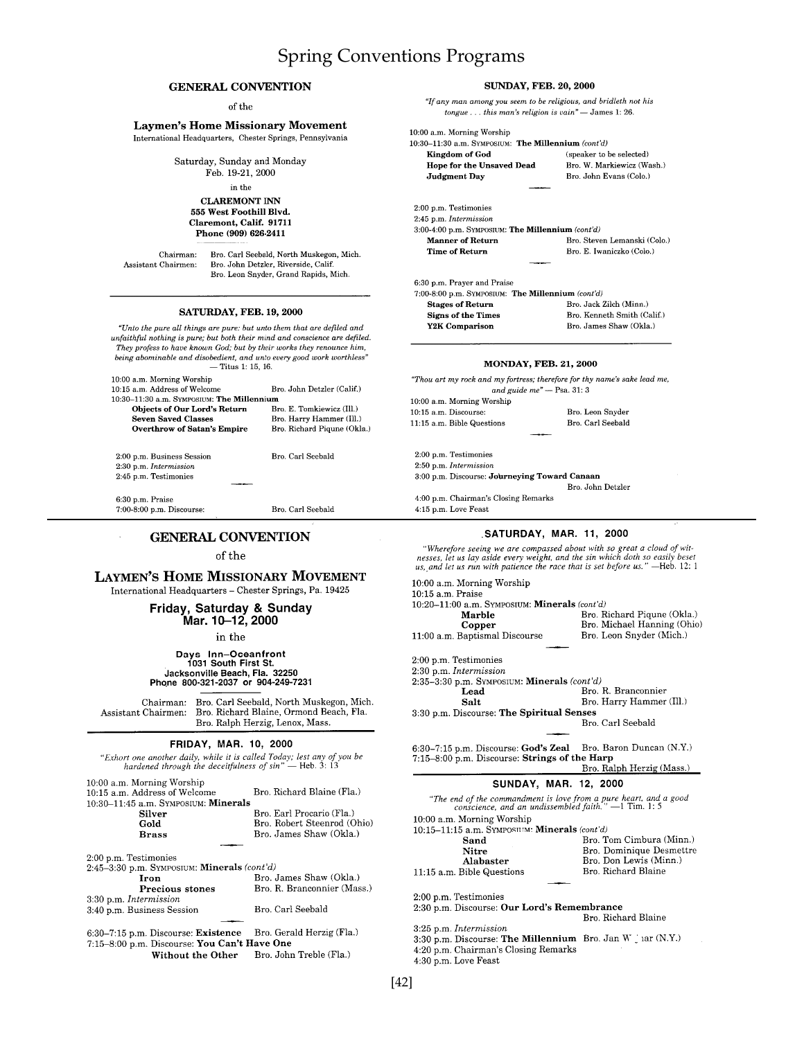# Spring Conventions Programs

#### **GENERAL CONVENTION**

 $% \left\vert \left( \mathbf{d}_{0},\mathbf{d}_{1}\right) \right\rangle$  of the

#### **Laymen's Home Missionary Movement** International Headquarters, Chester Springs, Pennsylvania

Saturday, Sunday and Monday Feb. 19-21, 2000

in the

**CLAREMONT INN** 555 West Foothill Blvd. Claremont, Calif. 91711 Phone (909) 626-2411

Chairman: Assistant Chairmen: Bro. Carl Seebald, North Muskegon, Mich. Bro. John Detzler, Riverside, Calif. Bro. Leon Snyder, Grand Rapids, Mich

#### **SATURDAY, FEB. 19, 2000**

 $\emph{``Unto the pure all things are pure: but unto them that are defined and}$ unfaithful nothing is pure; but both their mind and conscience are defiled.<br>They profess to have known God; but by their works they renounce him, being abominable and disobedient, and unto every good work worthless"  $-$  Titus 1: 15, 16.

| 10:00 a.m. Morning Worship                    |                             |
|-----------------------------------------------|-----------------------------|
| $10:15$ a.m. Address of Welcome               | Bro. John Detzler (Calif.)  |
| $10:30-11:30$ a.m. Sympositim: The Millennium |                             |
| <b>Objects of Our Lord's Return</b>           | Bro. E. Tomkiewicz (Ill.)   |
| <b>Seven Saved Classes</b>                    | Bro. Harry Hammer (Ill.)    |
| <b>Overthrow of Satan's Empire</b>            | Bro. Richard Piqune (Okla.) |
| 2:00 p.m. Business Session                    | Bro, Carl Seebald           |
| 2:30 p.m. Intermission                        |                             |
| 2:45 p.m. Testimonies                         |                             |
|                                               |                             |
| 6:30 p.m. Praise                              |                             |
| 7:00-8:00 p.m. Discourse:                     | Bro. Carl Seebald           |

#### **GENERAL CONVENTION**

#### of the

**LAYMEN'S HOME MISSIONARY MOVEMENT** 

International Headquarters - Chester Springs, Pa. 19425

Friday, Saturday & Sunday<br>Mar. 10-12, 2000

in the

# Days Inn-Oceanfront<br>1031 South First St.<br>Jacksonville Beach, Fla. 32250<br>Phone 800-321-2037 or 904-249-7231

Chairman: Bro. Carl Seebald, North Muskegon, Mich. Assistant Chairmen: Bro. Richard Blaine, Ormond Beach, Fla. Bro. Ralph Herzig, Lenox, Mass.

#### **FRIDAY, MAR. 10, 2000**

| 111071, 00711, 10, 2000                                                                                                               |                             |
|---------------------------------------------------------------------------------------------------------------------------------------|-----------------------------|
| "Exhort one another daily, while it is called Today; lest any of you be<br>hardened through the deceitfulness of $sin''$ – Heb. 3: 13 |                             |
| 10:00 a.m. Morning Worship<br>10:15 a.m. Address of Welcome<br>10:30–11:45 a.m. Sүмрозим: <b>Minerals</b>                             | Bro. Richard Blaine (Fla.)  |
| Silver                                                                                                                                | Bro. Earl Procario (Fla.)   |
|                                                                                                                                       | Bro. Robert Steenrod (Ohio) |
| Gold                                                                                                                                  |                             |
| <b>Brass</b>                                                                                                                          | Bro. James Shaw (Okla.)     |
|                                                                                                                                       |                             |
| 2:00 p.m. Testimonies                                                                                                                 |                             |
| 2:45–3:30 p.m. SYMPOSIUM: <b>Minerals</b> $(cont'd)$                                                                                  |                             |
| Iron                                                                                                                                  | Bro. James Shaw (Okla.)     |
| Precious stones                                                                                                                       | Bro. R. Branconnier (Mass.) |

| 3:40 p.m. Business Session                                    | Bro. Carl Seebald                        |
|---------------------------------------------------------------|------------------------------------------|
|                                                               |                                          |
| 6:30–7:15 p.m. Discourse: Existence Bro. Gerald Herzig (Fla.) |                                          |
| 7:15-8:00 p.m. Discourse: You Can't Have One                  |                                          |
|                                                               | Without the Other Rro John Treble (Fla.) |

3:30 p.m. Intermission

| Without the Other |  | Bro. John Treble (Fla.) |
|-------------------|--|-------------------------|
|                   |  |                         |

| "If any man among you seem to be religious, and bridleth not his<br>tongue $\dots$ this man's religion is vain" $\overline{\phantom{a}}$ James 1: 26. |                              |
|-------------------------------------------------------------------------------------------------------------------------------------------------------|------------------------------|
| 10:00 a.m. Morning Worship                                                                                                                            |                              |
| 10:30-11:30 a.m. SYMPOSIUM: The Millennium (cont'd)                                                                                                   |                              |
| Kingdom of God                                                                                                                                        | (speaker to be selected)     |
| Hope for the Unsaved Dead                                                                                                                             | Bro. W. Markiewicz (Wash.)   |
| <b>Judgment Day</b>                                                                                                                                   | Bro. John Evans (Colo.)      |
|                                                                                                                                                       |                              |
| 2:00 p.m. Testimonies                                                                                                                                 |                              |
| 2:45 p.m. Intermission                                                                                                                                |                              |
| 3:00-4:00 p.m. SYMPOSIUM: The Millennium (cont'd)                                                                                                     |                              |
| <b>Manner of Return</b>                                                                                                                               | Bro. Steven Lemanski (Colo.) |
| <b>Time of Return</b>                                                                                                                                 | Bro. E. Iwaniczko (Colo.)    |
|                                                                                                                                                       |                              |
| 6:30 p.m. Prayer and Praise                                                                                                                           |                              |
| 7:00-8:00 p.m. SYMPOSIUM: The Millennium (cont'd)                                                                                                     |                              |
| <b>Stages of Return</b>                                                                                                                               | Bro. Jack Zilch (Minn.)      |
| <b>Signs of the Times</b>                                                                                                                             | Bro. Kenneth Smith (Calif.)  |
| Y2K Comparison                                                                                                                                        | Bro. James Shaw (Okla.)      |
| <b>MONDAY, FEB. 21, 2000</b>                                                                                                                          |                              |
| "Thou art my rock and my fortress; therefore for thy name's sake lead me,<br>and guide $me$ <sup>n</sup> - Psa. 31: 3                                 |                              |
| 10:00 a.m. Morning Worship                                                                                                                            |                              |
| 10:15 a.m. Discourse:                                                                                                                                 | Bro. Leon Snyder             |

**SUNDAY, FEB. 20, 2000** 

 $11{:}15$  a.m. Bible Questions Bro. Carl Seebald 2:00 p.m. Testimonies  $2.50$  p.m.  $In terms is ion$ 3:00 p.m. Discourse: Journeying Toward Canaan Bro. John Detzler

4:00 p.m. Chairman's Closing Remarks  $4:15$  p.m. Love Feast

#### SATURDAY, MAR. 11, 2000

"Wherefore seeing we are compassed about with so great a cloud of wit-<br>nesses, let us lay aside every weight, and the sin which doth so easily beset<br>us, and let us run with patience the race that is set before us." —Heb. 1

| 10:00 a.m. Morning Worship                                                                                               |                             |
|--------------------------------------------------------------------------------------------------------------------------|-----------------------------|
| $10:15$ a.m. Praise                                                                                                      |                             |
| $10:20-11:00$ a.m. SYMPOSIUM: <b>Minerals</b> (cont d)                                                                   |                             |
| Marble                                                                                                                   | Bro. Richard Piqune (Okla.) |
| Copper                                                                                                                   | Bro. Michael Hanning (Ohio) |
| 11:00 a.m. Baptismal Discourse                                                                                           | Bro. Leon Snyder (Mich.)    |
|                                                                                                                          |                             |
| 2:00 p.m. Testimonies                                                                                                    |                             |
| 2:30 p.m. Intermission                                                                                                   |                             |
| $2:35-3:30$ p.m. SYMPOSIUM: <b>Minerals</b> (cont'd)                                                                     |                             |
| Lead                                                                                                                     | Bro, R. Branconnier         |
| Salt                                                                                                                     | Bro. Harry Hammer (Ill.)    |
| 3:30 p.m. Discourse: The Spiritual Senses                                                                                |                             |
|                                                                                                                          | Bro. Carl Seebald           |
|                                                                                                                          |                             |
| $6:30-7:15$ p.m. Discourse: God's Zeal                                                                                   | Bro. Baron Duncan (N.Y.)    |
| 7:15-8:00 p.m. Discourse: Strings of the Harp                                                                            |                             |
|                                                                                                                          | Bro. Ralph Herzig (Mass.)   |
|                                                                                                                          |                             |
| <b>SUNDAY, MAR. 12, 2000</b>                                                                                             |                             |
| "The end of the commandment is love from a pure heart, and a good conscience, and an undissembled faith." $-1$ Tim. 1: 5 |                             |
| 10:00 a.m. Morning Worship                                                                                               |                             |
| 10:15-11:15 a.m. SYMPOSHIM Minerals (cont'd)                                                                             |                             |
| Sand                                                                                                                     | Bro. Tom Cimbura (Minn.)    |
| Nitre                                                                                                                    | Bro. Dominique Desmettre    |
| Alabaster                                                                                                                | Bro. Don Lewis (Minn.)      |
| 11:15 a.m. Bible Questions                                                                                               | Bro. Richard Blaine         |
|                                                                                                                          |                             |
| 2:00 p.m. Testimonies                                                                                                    |                             |
| 2:30 p.m. Discourse: Our Lord's Remembrance                                                                              |                             |
|                                                                                                                          | Bro. Richard Blaine         |
| 3:25 p.m. Intermission                                                                                                   |                             |
|                                                                                                                          |                             |
| 3:30 p.m. Discourse: The Millennium Bro. Jan W har (N.Y.)                                                                |                             |
| 4:20 p.m. Chairman's Closing Remarks                                                                                     |                             |

4:30 p.m. Love Feast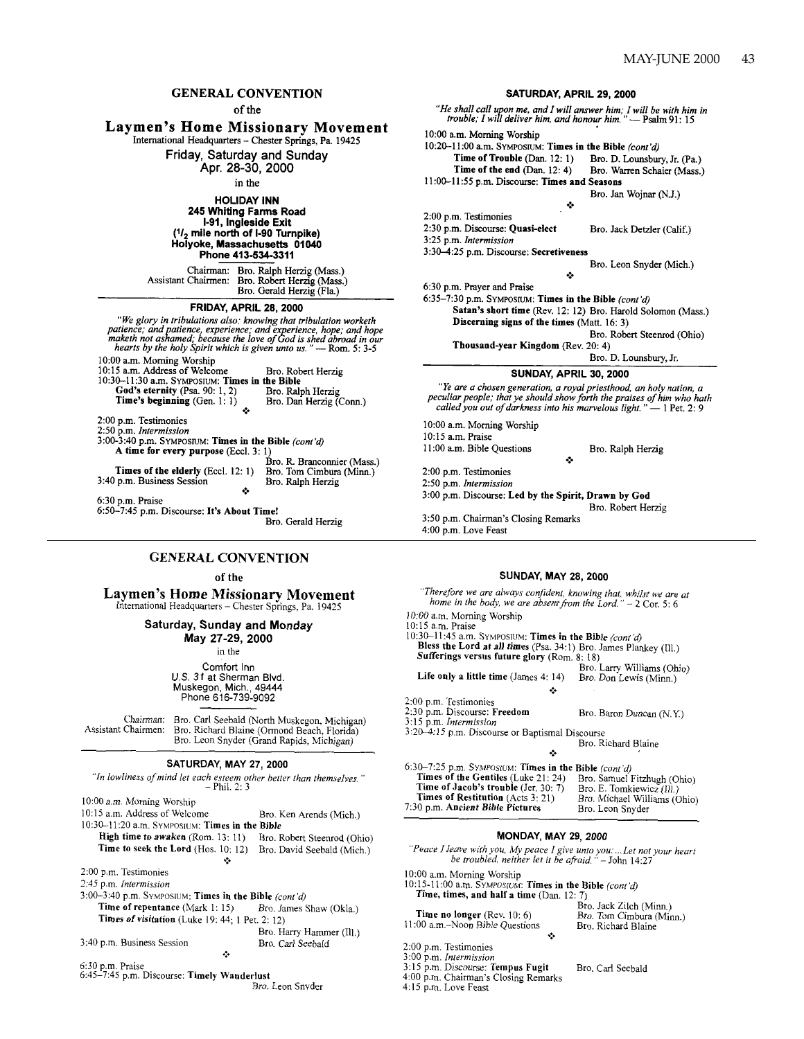#### **GENERAL CONVENTION**

of the

# **Laymen's Home Missionary Movement**

International Headquarters - Chester Springs, Pa. 19425

Friday, Saturday and Sunday

Apr. 28-30, 2000

in the

**HOLIDAY INN** 245 Whiting Farms Road I-91, Ingleside Exit  $(1/2)$  mile north of I-90 Turnpike) Holyoke, Massachusetts 01040

Phone 413-534-3311

Bro. Ralph Herzig (Mass.)<br>Bro. Robert Herzig (Mass.) Chairman: Assistant Chairmen: Bro. Gerald Herzig (Fla.)

FRIDAY, APRIL 28, 2000

"We glory in tribulations also: knowing that tribulation worketh re giory in tributations also: *knowing that tributation workers*<br>patience; and patience, experience; and experience, hope; and hope<br>maketh not ashamed; because the love of God is shed abroad in our<br>hearts by the holy Spir 10:00 a.m. Morning Worship 10:15 a.m. Address of Welcome Bro. Robert Herzig 10:30-11:30 a.m. SYMPOSIUM: Times in the Bible

God's eternity (Psa. 90: 1, 2) Bro. Ralph Herzig Time's beginning  $(Gen. 1: 1)$ Bro. Dan Herzig (Conn.)

2:00 p.m. Testimonies

2:50 p.m. Intermission<br>3:00-3:40 p.m. SYMPOSIUM: Times in the Bible (cont'd) A time for every purpose (Eccl. 3: 1)

Bro. R. Branconnier (Mass.) Times of the elderly (Eccl. 12: 1) Bro. Tom Cimbura (Minn.)<br>Bro. Ralph Herzig 3:40 p.m. Business Session

6:30 p.m. Praise 6:50-7:45 p.m. Discourse: It's About Time!

Bro. Gerald Herzig

#### **GENERAL CONVENTION**

of the

**Laymen's Home Missionary Movement** International Headquarters – Chester Springs, Pa. 19425

#### Saturday, Sunday and Monday

May 27-29, 2000

in the

Comfort Inn U.S. 31 at Sherman Blvd. Muskegon, Mich., 49444 Phone 616-739-9092

Bro. Carl Seebald (North Muskegon, Michigan)<br>Bro. Richard Blaine (Ormond Beach, Florida)<br>Bro. Leon Snyder (Grand Rapids, Michigan) Chairman: Assistant Chairmen:

#### SATURDAY, MAY 27, 2000

"In lowliness of mind let each esteem other better than themselves."<br>- Phil. 2: 3

10:00 a.m. Morning Worship

10:15 a.m. Address of Welcome Bro. Ken Arends (Mich.) 10:30-11:20 a.m. SYMPOSIUM: Times in the Bible High time to awaken (Rom. 13: 11) Bro. Robert Steenrod (Ohio) Time to seek the Lord (Hos. 10: 12) Bro. David Seebald (Mich.) ٠ 2:00 p.m. Testimonies

2:45 p.m. Intermission

3:00-3:40 p.m. SYMPOSIUM: Times in the Bible (cont'd) Time of repentance (Mark 1: 15) Bro. James Shaw (Okla.) Times of visitation (Luke 19: 44; 1 Pet. 2: 12) Bro. Harry Hammer (Ill.)

Bro. Carl Seebald

3:40 p.m. Business Session

- 
- 6:30 p.m. Praise<br>6:45–7:45 p.m. Discourse: Timely Wanderlust Bro. Leon Snyder

SATURDAY, APRIL 29, 2000 "He shall call upon me, and I will answer him; I will be with him in trouble; I will deliver him, and honour him." — Psalm 91: 15 10:00 a.m. Morning Worship 10:20-11:00 a.m. SYMPOSIUM: Times in the Bible (cont'd) Time of Trouble (Dan. 12: 1) Bro. D. Lounsbury, Jr. (Pa.) Time of the end  $(Dan. 12: 4)$ Bro. Warren Schaier (Mass.) 11:00-11:55 p.m. Discourse: Times and Seasons Bro. Jan Wojnar (N.J.) ري. 2:00 p.m. Testimonies 2:30 p.m. Discourse: Quasi-elect Bro. Jack Detzler (Calif.) 3:25 p.m. Intermission 3:30-4:25 p.m. Discourse: Secretiveness Bro. Leon Snyder (Mich.) ĉ. 6:30 p.m. Prayer and Praise 6:35-7:30 p.m. SYMPOSIUM: Times in the Bible  $(cont'd)$ Satan's short time (Rev. 12: 12) Bro. Harold Solomon (Mass.) Discerning signs of the times (Matt. 16: 3) Bro. Robert Steenrod (Ohio) Thousand-year Kingdom (Rev. 20: 4) Bro. D. Lounsbury, Jr. SUNDAY, APRIL 30, 2000 "Ye are a chosen generation, a royal priesthood, an holy nation, a peculiar people; that ye should show forth the praises of him who hath<br>called you out of darkness into his marvelous light." — 1 Pet. 2: 9 10:00 a.m. Morning Worship 10:15 a.m. Praise 11:00 a.m. Bible Questions Bro. Ralph Herzig é. 2:00 p.m. Testimonies

2:50 p.m. Intermission 3:00 p.m. Discourse: Led by the Spirit, Drawn by God Bro. Robert Herzig 3:50 p.m. Chairman's Closing Remarks 4:00 p.m. Love Feast

#### **SUNDAY, MAY 28, 2000**

"Therefore we are always confident, knowing that, whilst we are at home in the body, we are absent from the Lord."  $-2$  Cor. 5: 6 10:00 a.m. Morning Worship 10:15 a.m. Praise 10:30-11:45 a.m. SYMPOSIUM: Times in the Bible (cont'd) Bless the Lord at all times (Psa. 34:1) Bro. James Plankey (Ill.) Sufferings versus future glory (Rom. 8: 18) Bro. Larry Williams (Ohio) Life only a little time (James 4: 14) Bro. Don Lewis (Minn.) ٠ 2:00 p.m. Testimonies 2:30 p.m. Discourse: Freedom Bro. Baron Duncan (N.Y.) 3:15 p.m. Intermission 3:20-4:15 p.m. Discourse or Baptismal Discourse Bro. Richard Blaine 6:30-7:25 p.m. SYMPOSIUM: Times in the Bible (cont'd) Times of the Gentiles (Luke 21: 24) Bro. Samuel Fitzhugh (Ohio) Time of Jacob's trouble (Jer. 30: 7) Bro. E. Tomkiewicz (Ill.) Bro. Michael Williams (Ohio) Times of Restitution (Acts 3: 21) 7:30 p.m. Ancient Bible Pictures Bro. Leon Snyder

#### **MONDAY, MAY 29, 2000**

"Peace I leave with you, My peace I give unto you: ... Let not your heart<br>be troubled, neither let it be afraid.  $" -$  John 14:27

10:00 a.m. Morning Worship

10:15-11:00 a.m. SYMPOSIUM: Times in the Bible *(cont'd)*<br>Time, times, and half a time (Dan. 12: 7) Bro. Jack Zilch (Minn.)

| <b>Time no longer</b> (Rev. $10:6$ ) |  |
|--------------------------------------|--|
| 1:00 a.m.–Noon Bible Questions       |  |
|                                      |  |

Bro. Tom Cimbura (Minn.) Bro. Richard Blaine

2:00 p.m. Testimonies

3:00 p.m. Intermission

3:15 p.m. Discourse: Tempus Fugit<br>4:00 p.m. Chairman's Closing Remarks

4:15 p.m. Love Feast

Bro. Carl Seebald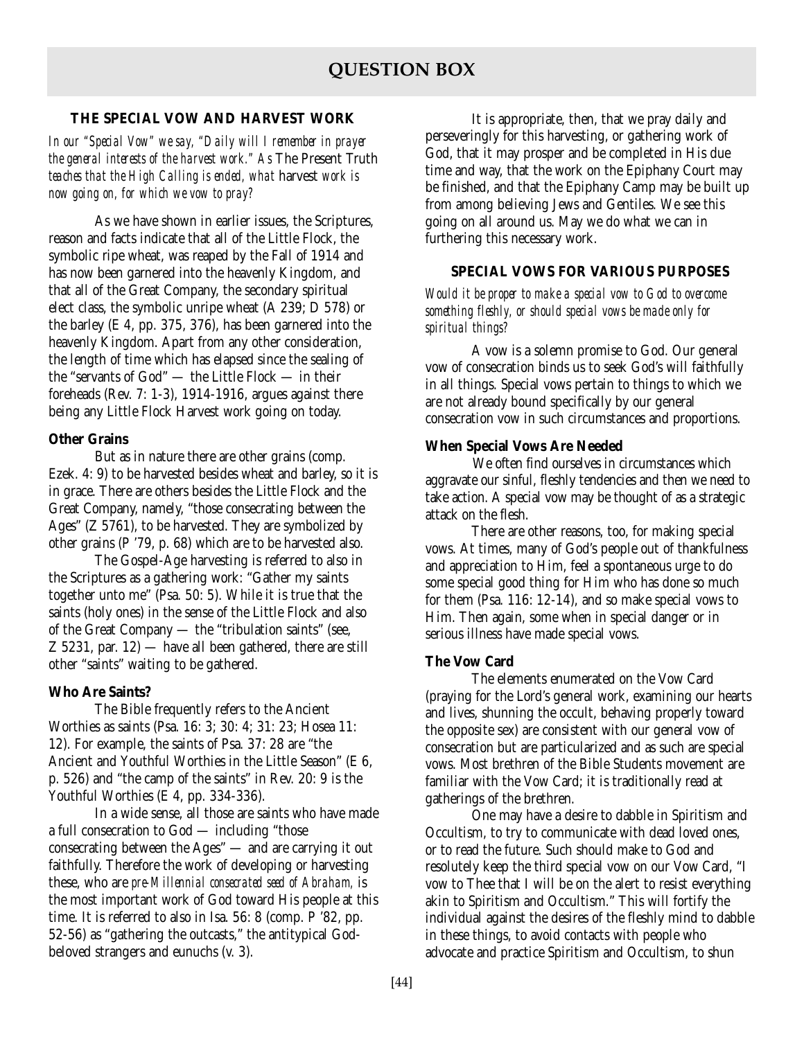# **THE SPECIAL VOW AND HARVEST WORK**

*In our "Special Vow" we say, "Daily will I remember in prayer the general interests of the harvest work." As* The Present Truth *teaches that the High Calling is ended, what* harvest *work is now going on, for which we vow to pray?*

As we have shown in earlier issues, the Scriptures, reason and facts indicate that all of the Little Flock, the symbolic ripe wheat, was reaped by the Fall of 1914 and has now been garnered into the heavenly Kingdom, and that all of the Great Company, the secondary spiritual elect class, the symbolic unripe wheat (A 239; D 578) or the barley (E 4, pp. 375, 376), has been garnered into the heavenly Kingdom. Apart from any other consideration, the length of time which has elapsed since the sealing of the "servants of God" — the Little Flock — in their foreheads (Rev. 7: 1-3), 1914-1916, argues against there being any Little Flock Harvest work going on today.

# **Other Grains**

But as in nature there are other grains (comp. Ezek. 4: 9) to be harvested besides wheat and barley, so it is in grace. There are others besides the Little Flock and the Great Company, namely, "those consecrating between the Ages" (Z 5761), to be harvested. They are symbolized by other grains (P '79, p. 68) which are to be harvested also.

The Gospel-Age harvesting is referred to also in the Scriptures as a gathering work: "Gather my saints together unto me" (Psa. 50: 5). While it is true that the saints (holy ones) in the sense of the Little Flock and also of the Great Company — the "tribulation saints" (see, Z 5231, par. 12) — have all been gathered, there are still other "saints" waiting to be gathered.

# **Who Are Saints?**

The Bible frequently refers to the Ancient Worthies as saints (Psa. 16: 3; 30: 4; 31: 23; Hosea 11: 12). For example, the saints of Psa. 37: 28 are "the Ancient and Youthful Worthies in the Little Season" (E 6, p. 526) and "the camp of the saints" in Rev. 20: 9 is the Youthful Worthies (E 4, pp. 334-336).

In a wide sense, all those are saints who have made a full consecration to God — including "those consecrating between the Ages" — and are carrying it out faithfully. Therefore the work of developing or harvesting these, who are *pre-Millennial consecrated seed of Abraham,* is the most important work of God toward His people at this time. It is referred to also in Isa. 56: 8 (comp. P '82, pp. 52-56) as "gathering the outcasts," the antitypical Godbeloved strangers and eunuchs (v. 3).

It is appropriate, then, that we pray daily and perseveringly for this harvesting, or gathering work of God, that it may prosper and be completed in His due time and way, that the work on the Epiphany Court may be finished, and that the Epiphany Camp may be built up from among believing Jews and Gentiles. We see this going on all around us. May we do what we can in furthering this necessary work.

# **SPECIAL VOWS FOR VARIOUS PURPOSES**

*Would it be proper to make a special vow to God to overcome something fleshly, or should special vows be made only for spiritual things?*

A vow is a solemn promise to God. Our general vow of consecration binds us to seek God's will faithfully in all things. Special vows pertain to things to which we are not already bound specifically by our general consecration vow in such circumstances and proportions.

# **When Special Vows Are Needed**

We often find ourselves in circumstances which aggravate our sinful, fleshly tendencies and then we need to take action. A special vow may be thought of as a strategic attack on the flesh.

There are other reasons, too, for making special vows. At times, many of God's people out of thankfulness and appreciation to Him, feel a spontaneous urge to do some special good thing for Him who has done so much for them (Psa. 116: 12-14), and so make special vows to Him. Then again, some when in special danger or in serious illness have made special vows.

# **The Vow Card**

The elements enumerated on the Vow Card (praying for the Lord's general work, examining our hearts and lives, shunning the occult, behaving properly toward the opposite sex) are consistent with our general vow of consecration but are particularized and as such are special vows. Most brethren of the Bible Students movement are familiar with the Vow Card; it is traditionally read at gatherings of the brethren.

One may have a desire to dabble in Spiritism and Occultism, to try to communicate with dead loved ones, or to read the future. Such should make to God and resolutely keep the third special vow on our Vow Card, "I vow to Thee that I will be on the alert to resist everything akin to Spiritism and Occultism." This will fortify the individual against the desires of the fleshly mind to dabble in these things, to avoid contacts with people who advocate and practice Spiritism and Occultism, to shun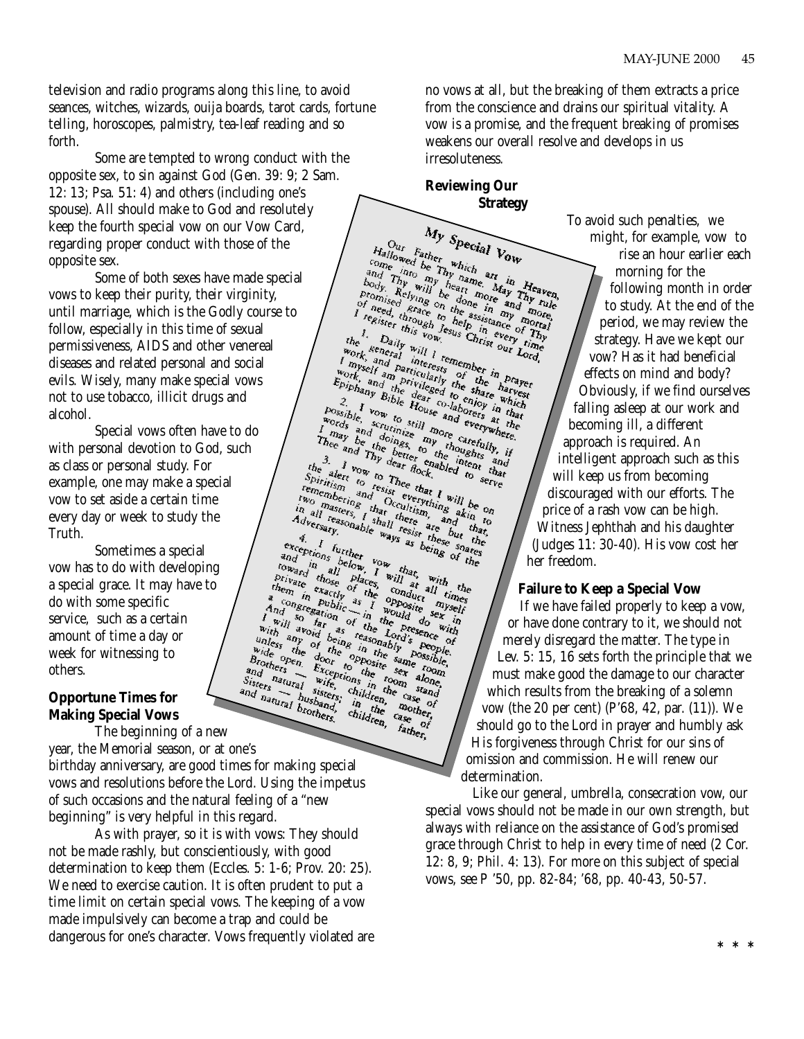television and radio programs along this line, to avoid seances, witches, wizards, ouija boards, tarot cards, fortune telling, horoscopes, palmistry, tea-leaf reading and so forth.

Some are tempted to wrong conduct with the opposite sex, to sin against God (Gen. 39: 9; 2 Sam. 12: 13; Psa. 51: 4) and others (including one's spouse). All should make to God and resolutely keep the fourth special vow on our Vow Card, regarding proper conduct with those of the opposite sex.

Some of both sexes have made special vows to keep their purity, their virginity, until marriage, which is the Godly course to follow, especially in this time of sexual permissiveness, AIDS and other venereal diseases and related personal and social evils. Wisely, many make special vows not to use tobacco, illicit drugs and alcohol.

Special vows often have to do with personal devotion to God, such as class or personal study. For example, one may make a special vow to set aside a certain time every day or week to study the Truth.

Sometimes a special vow has to do with developing a special grace. It may have to do with some specific service, such as a certain amount of time a day or week for witnessing to others.

# **Opportune Times for Making Special Vows**

The beginning of a new year, the Memorial season, or at one's

birthday anniversary, are good times for making special vows and resolutions before the Lord. Using the impetus of such occasions and the natural feeling of a "new beginning" is very helpful in this regard.

As with prayer, so it is with vows: They should not be made rashly, but conscientiously, with good determination to keep them (Eccles. 5: 1-6; Prov. 20: 25). We need to exercise caution. It is often prudent to put a time limit on certain special vows. The keeping of a vow made impulsively can become a trap and could be dangerous for one's character. Vows frequently violated are no vows at all, but the breaking of them extracts a price from the conscience and drains our spiritual vitality. A vow is a promise, and the frequent breaking of promises weakens our overall resolve and develops in us irresoluteness.

**Reviewing Our Strategy**

 $\label{eq:2} \begin{array}{l|l|l} & My\;\; \textit{Special}\;\; V \\ \hline \end{array} \begin{array}{l} \hline \begin{array}{l} \hline \begin{array}{l} \hline \begin{array}{l} \hline \begin{array}{l} \hline \begin{array}{l} \hline \begin{array}{l} \hline \begin{array}{l} \hline \begin{array}{l} \hline \begin{array}{l} \hline \begin{array}{l} \hline \begin{array}{l} \hline \begin{array}{l} \hline \begin{array}{l} \hline \begin{array}{l} \hline \begin{array}{l} \hline \begin{array}{l} \hline \begin{array}{l} \$ My Special Vow I reed, through below to a<br>signal of the assister of the assister of the series of the pair of The<br>prock, seneral will I remember in work, seneral will I remember in prayer<br>thang and privileged to share which<br>Epihany Bible any Bible dear to enjare when the possible, when the set of the benefit the and the benefit and everywhere the and the benefit and the benefit and the benefit and the benefit and the benefit and the benefit and the benefit The Bible dear to enjure while<br>le, scrutinize and everywhere. There is and The bester of the series of the series of the series of the series of the series of the series of the series of the series of the series of the series of the series of the series of the series of the series of Advantages, I shall there and the case of the cases of the case of the case of the case of the case of the case of the case of the case of the case of the case of the case of the case of the case of the case of the case of The motor is the conduct and the motor in the seating the down in the seat of the seat of the seat of the seat of the seat of the seat of the seat of the seat of the seat of the seat of the seat of the seat of the seat of and res Brothers Exceptions to bosite same room.<br>and natural wife, the room along Sisters natural wife, children, father, οŕ

To avoid such penalties, we might, for example, vow to rise an hour earlier each morning for the following month in order to study. At the end of the period, we may review the strategy. Have we kept our vow? Has it had beneficial effects on mind and body? Obviously, if we find ourselves falling asleep at our work and becoming ill, a different approach is required. An intelligent approach such as this will keep us from becoming discouraged with our efforts. The price of a rash vow can be high. Witness Jephthah and his daughter (Judges 11: 30-40). His vow cost her

her freedom.

**Failure to Keep a Special Vow** If we have failed properly to keep a vow,

or have done contrary to it, we should not merely disregard the matter. The type in Lev. 5: 15, 16 sets forth the principle that we must make good the damage to our character which results from the breaking of a solemn vow (the 20 per cent) (P'68, 42, par. (11)). We should go to the Lord in prayer and humbly ask His forgiveness through Christ for our sins of omission and commission. He will renew our determination.

Like our general, umbrella, consecration vow, our special vows should not be made in our own strength, but always with reliance on the assistance of God's promised grace through Christ to help in every time of need (2 Cor. 12: 8, 9; Phil. 4: 13). For more on this subject of special vows, see P '50, pp. 82-84; '68, pp. 40-43, 50-57.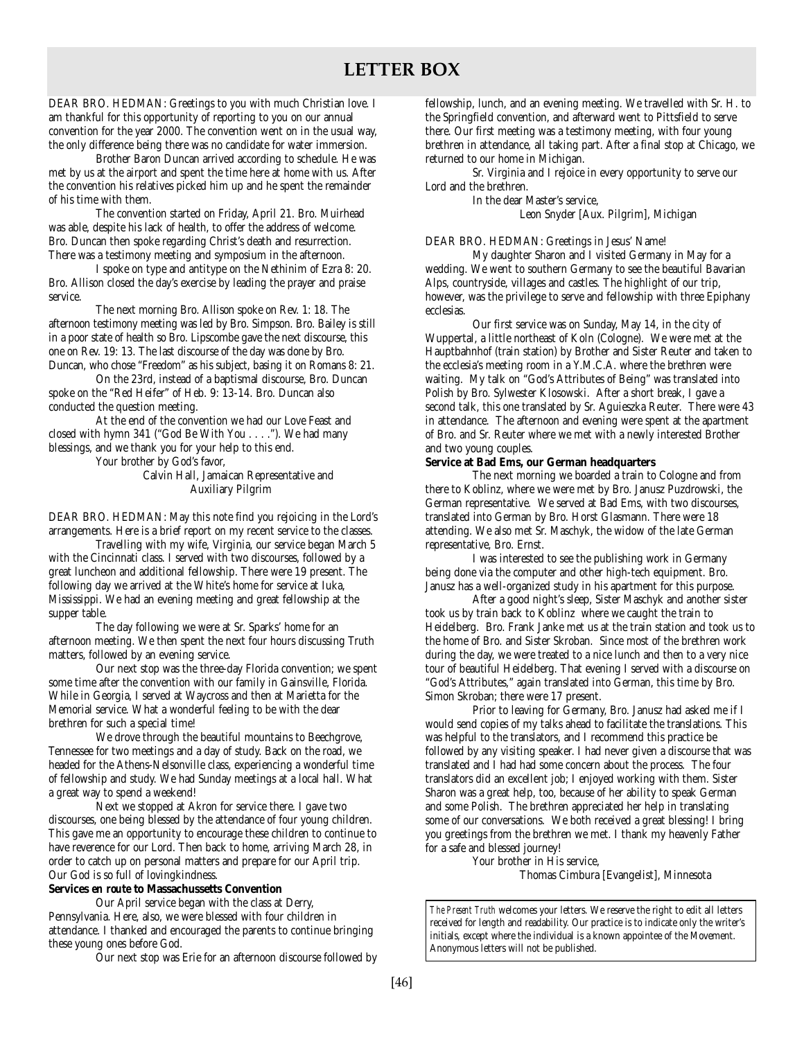DEAR BRO. HEDMAN: Greetings to you with much Christian love. I am thankful for this opportunity of reporting to you on our annual convention for the year 2000. The convention went on in the usual way, the only difference being there was no candidate for water immersion.

Brother Baron Duncan arrived according to schedule. He was met by us at the airport and spent the time here at home with us. After the convention his relatives picked him up and he spent the remainder of his time with them.

The convention started on Friday, April 21. Bro. Muirhead was able, despite his lack of health, to offer the address of welcome. Bro. Duncan then spoke regarding Christ's death and resurrection. There was a testimony meeting and symposium in the afternoon.

I spoke on type and antitype on the Nethinim of Ezra 8: 20. Bro. Allison closed the day's exercise by leading the prayer and praise service.

The next morning Bro. Allison spoke on Rev. 1: 18. The afternoon testimony meeting was led by Bro. Simpson. Bro. Bailey is still in a poor state of health so Bro. Lipscombe gave the next discourse, this one on Rev. 19: 13. The last discourse of the day was done by Bro. Duncan, who chose "Freedom" as his subject, basing it on Romans 8: 21.

On the 23rd, instead of a baptismal discourse, Bro. Duncan spoke on the "Red Heifer" of Heb. 9: 13-14. Bro. Duncan also conducted the question meeting.

At the end of the convention we had our Love Feast and closed with hymn 341 ("God Be With You . . . ."). We had many blessings, and we thank you for your help to this end.

Your brother by God's favor,

Calvin Hall, Jamaican Representative and Auxiliary Pilgrim

DEAR BRO. HEDMAN: May this note find you rejoicing in the Lord's arrangements. Here is a brief report on my recent service to the classes.

Travelling with my wife, Virginia, our service began March 5 with the Cincinnati class. I served with two discourses, followed by a great luncheon and additional fellowship. There were 19 present. The following day we arrived at the White's home for service at Iuka, Mississippi. We had an evening meeting and great fellowship at the supper table.

The day following we were at Sr. Sparks' home for an afternoon meeting. We then spent the next four hours discussing Truth matters, followed by an evening service.

Our next stop was the three-day Florida convention; we spent some time after the convention with our family in Gainsville, Florida. While in Georgia, I served at Waycross and then at Marietta for the Memorial service. What a wonderful feeling to be with the dear brethren for such a special time!

We drove through the beautiful mountains to Beechgrove, Tennessee for two meetings and a day of study. Back on the road, we headed for the Athens-Nelsonville class, experiencing a wonderful time of fellowship and study. We had Sunday meetings at a local hall. What a great way to spend a weekend!

Next we stopped at Akron for service there. I gave two discourses, one being blessed by the attendance of four young children. This gave me an opportunity to encourage these children to continue to have reverence for our Lord. Then back to home, arriving March 28, in order to catch up on personal matters and prepare for our April trip. Our God is so full of lovingkindness.

#### **Services** *en route* **to Massachussetts Convention**

Our April service began with the class at Derry, Pennsylvania. Here, also, we were blessed with four children in attendance. I thanked and encouraged the parents to continue bringing these young ones before God.

Our next stop was Erie for an afternoon discourse followed by

fellowship, lunch, and an evening meeting. We travelled with Sr. H. to the Springfield convention, and afterward went to Pittsfield to serve there. Our first meeting was a testimony meeting, with four young brethren in attendance, all taking part. After a final stop at Chicago, we returned to our home in Michigan.

Sr. Virginia and I rejoice in every opportunity to serve our Lord and the brethren.

> In the dear Master's service, Leon Snyder [Aux. Pilgrim], Michigan

DEAR BRO. HEDMAN: Greetings in Jesus' Name!

My daughter Sharon and I visited Germany in May for a wedding. We went to southern Germany to see the beautiful Bavarian Alps, countryside, villages and castles. The highlight of our trip, however, was the privilege to serve and fellowship with three Epiphany ecclesias.

Our first service was on Sunday, May 14, in the city of Wuppertal, a little northeast of Koln (Cologne). We were met at the Hauptbahnhof (train station) by Brother and Sister Reuter and taken to the ecclesia's meeting room in a Y.M.C.A. where the brethren were waiting. My talk on "God's Attributes of Being" was translated into Polish by Bro. Sylwester Klosowski. After a short break, I gave a second talk, this one translated by Sr. Aguieszka Reuter. There were 43 in attendance. The afternoon and evening were spent at the apartment of Bro. and Sr. Reuter where we met with a newly interested Brother and two young couples.

#### **Service at Bad Ems, our German headquarters**

The next morning we boarded a train to Cologne and from there to Koblinz, where we were met by Bro. Janusz Puzdrowski, the German representative. We served at Bad Ems, with two discourses, translated into German by Bro. Horst Glasmann. There were 18 attending. We also met Sr. Maschyk, the widow of the late German representative, Bro. Ernst.

I was interested to see the publishing work in Germany being done via the computer and other high-tech equipment. Bro. Janusz has a well-organized study in his apartment for this purpose.

After a good night's sleep, Sister Maschyk and another sister took us by train back to Koblinz where we caught the train to Heidelberg. Bro. Frank Janke met us at the train station and took us to the home of Bro. and Sister Skroban. Since most of the brethren work during the day, we were treated to a nice lunch and then to a very nice tour of beautiful Heidelberg. That evening I served with a discourse on "God's Attributes," again translated into German, this time by Bro. Simon Skroban; there were 17 present.

Prior to leaving for Germany, Bro. Janusz had asked me if I would send copies of my talks ahead to facilitate the translations. This was helpful to the translators, and I recommend this practice be followed by any visiting speaker. I had never given a discourse that was translated and I had had some concern about the process. The four translators did an excellent job; I enjoyed working with them. Sister Sharon was a great help, too, because of her ability to speak German and some Polish. The brethren appreciated her help in translating some of our conversations. We both received a great blessing! I bring you greetings from the brethren we met. I thank my heavenly Father for a safe and blessed journey!

Your brother in His service,

Thomas Cimbura [Evangelist], Minnesota

*The Present Truth* welcomes your letters. We reserve the right to edit all letters received for length and readability. Our practice is to indicate only the writer's initials, except where the individual is a known appointee of the Movement. Anonymous letters will not be published.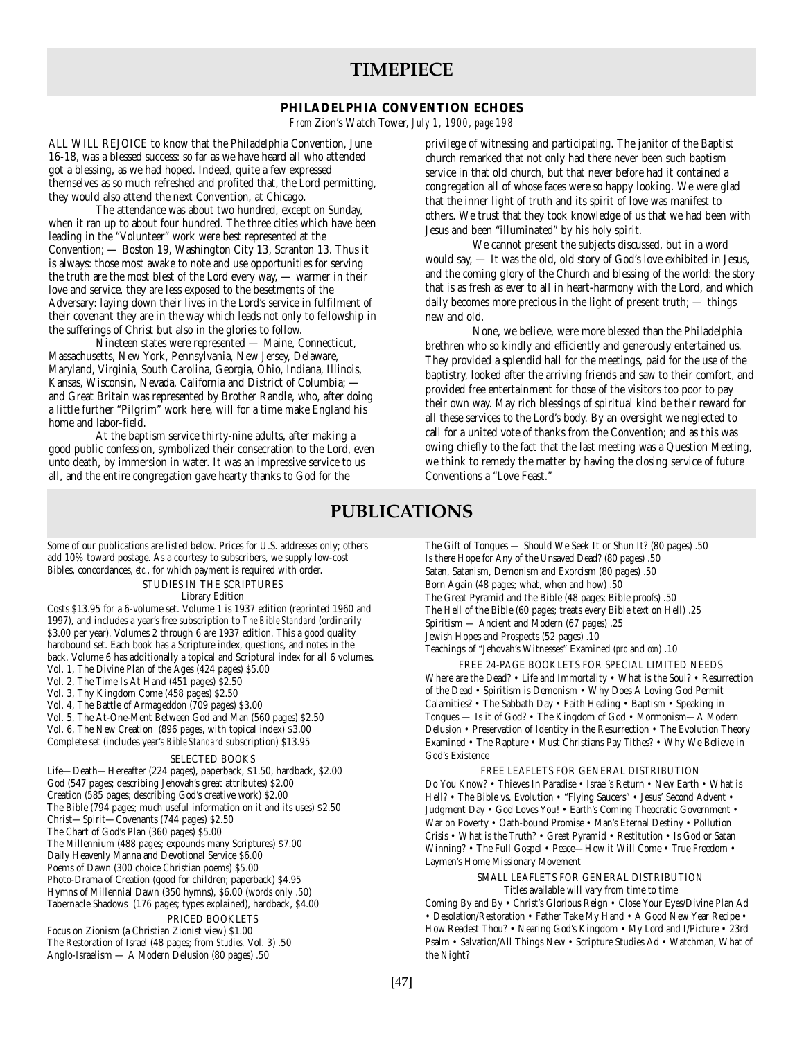# **TIMEPIECE**

# **PHILADELPHIA CONVENTION ECHOES**

*From* Zion's Watch Tower, *July 1, 1900, page 198*

ALL WILL REJOICE to know that the Philadelphia Convention, June 16-18, was a blessed success: so far as we have heard all who attended got a blessing, as we had hoped. Indeed, quite a few expressed themselves as so much refreshed and profited that, the Lord permitting, they would also attend the next Convention, at Chicago.

The attendance was about two hundred, except on Sunday, when it ran up to about four hundred. The three cities which have been leading in the "Volunteer" work were best represented at the Convention; — Boston 19, Washington City 13, Scranton 13. Thus it is always: those most awake to note and use opportunities for serving the truth are the most blest of the Lord every way, — warmer in their love and service, they are less exposed to the besetments of the Adversary: laying down their lives in the Lord's service in fulfilment of their covenant they are in the way which leads not only to fellowship in the sufferings of Christ but also in the glories to follow.

Nineteen states were represented — Maine, Connecticut, Massachusetts, New York, Pennsylvania, New Jersey, Delaware, Maryland, Virginia, South Carolina, Georgia, Ohio, Indiana, Illinois, Kansas, Wisconsin, Nevada, California and District of Columbia; and Great Britain was represented by Brother Randle, who, after doing a little further "Pilgrim" work here, will for a time make England his home and labor-field.

At the baptism service thirty-nine adults, after making a good public confession, symbolized their consecration to the Lord, even unto death, by immersion in water. It was an impressive service to us all, and the entire congregation gave hearty thanks to God for the

privilege of witnessing and participating. The janitor of the Baptist church remarked that not only had there never been such baptism service in that old church, but that never before had it contained a congregation all of whose faces were so happy looking. We were glad that the inner light of truth and its spirit of love was manifest to others. We trust that they took knowledge of us that we had been with Jesus and been "illuminated" by his holy spirit.

We cannot present the subjects discussed, but in a word would say, — It was the old, old story of God's love exhibited in Jesus, and the coming glory of the Church and blessing of the world: the story that is as fresh as ever to all in heart-harmony with the Lord, and which daily becomes more precious in the light of present truth; — things new and old.

None, we believe, were more blessed than the Philadelphia brethren who so kindly and efficiently and generously entertained us. They provided a splendid hall for the meetings, paid for the use of the baptistry, looked after the arriving friends and saw to their comfort, and provided free entertainment for those of the visitors too poor to pay their own way. May rich blessings of spiritual kind be their reward for all these services to the Lord's body. By an oversight we neglected to call for a united vote of thanks from the Convention; and as this was owing chiefly to the fact that the last meeting was a Question Meeting, we think to remedy the matter by having the closing service of future Conventions a "Love Feast."

# **PUBLICATIONS**

Some of our publications are listed below. Prices for U.S. addresses only; others add 10% toward postage. As a courtesy to subscribers, we supply low-cost Bibles, concordances, *etc*., for which payment is required with order.

STUDIES IN THE SCRIPTURES

#### Library Edition

Costs \$13.95 for a 6-volume set. Volume 1 is 1937 edition (reprinted 1960 and 1997), and includes a year's free subscription to *The Bible Standard* (ordinarily \$3.00 per year). Volumes 2 through 6 are 1937 edition. This a good quality hardbound set. Each book has a Scripture index, questions, and notes in the back. Volume 6 has additionally a topical and Scriptural index for all 6 volumes. Vol. 1, The Divine Plan of the Ages (424 pages) \$5.00

- Vol. 2, The Time Is At Hand (451 pages) \$2.50
- Vol. 3, Thy Kingdom Come (458 pages) \$2.50
- Vol. 4, The Battle of Armageddon (709 pages) \$3.00
- Vol. 5, The At-One-Ment Between God and Man (560 pages) \$2.50
- Vol. 6, The New Creation (896 pages, with topical index) \$3.00

Complete set (includes year's *Bible Standard* subscription) \$13.95

#### SELECTED BOOKS

Life—Death—Hereafter (224 pages), paperback, \$1.50, hardback, \$2.00 God (547 pages; describing Jehovah's great attributes) \$2.00 Creation (585 pages; describing God's creative work) \$2.00 The Bible (794 pages; much useful information on it and its uses) \$2.50 Christ—Spirit—Covenants (744 pages) \$2.50 The Chart of God's Plan (360 pages) \$5.00 The Millennium (488 pages; expounds many Scriptures) \$7.00 Daily Heavenly Manna and Devotional Service \$6.00 Poems of Dawn (300 choice Christian poems) \$5.00 Photo-Drama of Creation (good for children; paperback) \$4.95 Hymns of Millennial Dawn (350 hymns), \$6.00 (words only .50) Tabernacle Shadows (176 pages; types explained), hardback, \$4.00 PRICED BOOKLETS Focus on Zionism (a Christian Zionist view) \$1.00

The Restoration of Israel (48 pages; from *Studies,* Vol. 3) .50 Anglo-Israelism — A Modern Delusion (80 pages) .50

The Gift of Tongues — Should We Seek It or Shun It? (80 pages) .50 Is there Hope for Any of the Unsaved Dead? (80 pages) .50 Satan, Satanism, Demonism and Exorcism (80 pages) .50 Born Again (48 pages; what, when and how) .50 The Great Pyramid and the Bible (48 pages; Bible proofs) .50 The Hell of the Bible (60 pages; treats every Bible text on Hell) .25 Spiritism — Ancient and Modern (67 pages) .25 Jewish Hopes and Prospects (52 pages) .10 Teachings of "Jehovah's Witnesses" Examined (*pro* and *con*) .10

FREE 24-PAGE BOOKLETS FOR SPECIAL LIMITED NEEDS Where are the Dead? • Life and Immortality • What is the Soul? • Resurrection of the Dead • Spiritism is Demonism • Why Does A Loving God Permit Calamities? • The Sabbath Day • Faith Healing • Baptism • Speaking in Tongues — Is it of God? • The Kingdom of God • Mormonism—A Modern Delusion • Preservation of Identity in the Resurrection • The Evolution Theory Examined • The Rapture • Must Christians Pay Tithes? • Why We Believe in God's Existence

FREE LEAFLETS FOR GENERAL DISTRIBUTION Do You Know? • Thieves In Paradise • Israel's Return • New Earth • What is Hell? • The Bible vs. Evolution • "Flying Saucers" • Jesus' Second Advent • Judgment Day • God Loves You! • Earth's Coming Theocratic Government • War on Poverty • Oath-bound Promise • Man's Eternal Destiny • Pollution Crisis • What is the Truth? • Great Pyramid • Restitution • Is God or Satan Winning? • The Full Gospel • Peace—How it Will Come • True Freedom • Laymen's Home Missionary Movement

> SMALL LEAFLETS FOR GENERAL DISTRIBUTION Titles available will vary from time to time

Coming By and By • Christ's Glorious Reign • Close Your Eyes/Divine Plan Ad • Desolation/Restoration • Father Take My Hand • A Good New Year Recipe • How Readest Thou? • Nearing God's Kingdom • My Lord and I/Picture • 23rd Psalm • Salvation/All Things New • Scripture Studies Ad • Watchman, What of the Night?